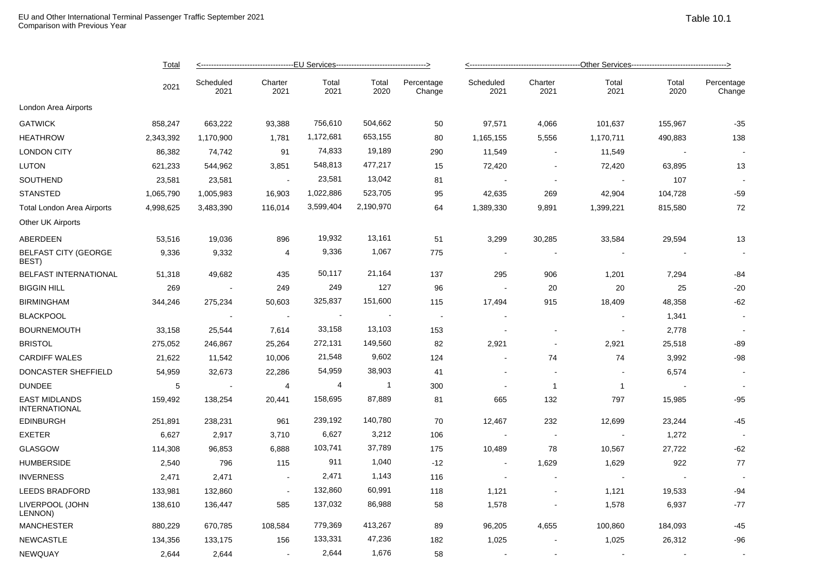|                                              | <b>Total</b><br>2021 | --------------------------------EU Services---------------------------------> |                 |               |               |                      | ----------------------------------Other Services----------------------------------> |                          |                |                          |                      |  |
|----------------------------------------------|----------------------|-------------------------------------------------------------------------------|-----------------|---------------|---------------|----------------------|-------------------------------------------------------------------------------------|--------------------------|----------------|--------------------------|----------------------|--|
|                                              |                      | Scheduled<br>2021                                                             | Charter<br>2021 | Total<br>2021 | Total<br>2020 | Percentage<br>Change | Scheduled<br>2021                                                                   | Charter<br>2021          | Total<br>2021  | Total<br>2020            | Percentage<br>Change |  |
| London Area Airports                         |                      |                                                                               |                 |               |               |                      |                                                                                     |                          |                |                          |                      |  |
| <b>GATWICK</b>                               | 858,247              | 663,222                                                                       | 93,388          | 756,610       | 504,662       | 50                   | 97,571                                                                              | 4,066                    | 101,637        | 155,967                  | $-35$                |  |
| <b>HEATHROW</b>                              | 2,343,392            | 1,170,900                                                                     | 1,781           | 1,172,681     | 653,155       | 80                   | 1,165,155                                                                           | 5,556                    | 1,170,711      | 490,883                  | 138                  |  |
| <b>LONDON CITY</b>                           | 86,382               | 74,742                                                                        | 91              | 74,833        | 19,189        | 290                  | 11,549                                                                              | $\blacksquare$           | 11,549         | $\overline{\phantom{a}}$ |                      |  |
| <b>LUTON</b>                                 | 621,233              | 544,962                                                                       | 3,851           | 548,813       | 477,217       | 15                   | 72,420                                                                              | $\sim$                   | 72,420         | 63,895                   | 13                   |  |
| SOUTHEND                                     | 23,581               | 23,581                                                                        | $\sim$          | 23,581        | 13,042        | 81                   |                                                                                     | $\blacksquare$           |                | 107                      |                      |  |
| <b>STANSTED</b>                              | 1,065,790            | 1,005,983                                                                     | 16,903          | 1,022,886     | 523,705       | 95                   | 42,635                                                                              | 269                      | 42,904         | 104,728                  | $-59$                |  |
| <b>Total London Area Airports</b>            | 4,998,625            | 3,483,390                                                                     | 116,014         | 3,599,404     | 2,190,970     | 64                   | 1,389,330                                                                           | 9,891                    | 1,399,221      | 815,580                  | 72                   |  |
| Other UK Airports                            |                      |                                                                               |                 |               |               |                      |                                                                                     |                          |                |                          |                      |  |
| ABERDEEN                                     | 53,516               | 19,036                                                                        | 896             | 19,932        | 13,161        | 51                   | 3,299                                                                               | 30,285                   | 33,584         | 29,594                   | 13                   |  |
| <b>BELFAST CITY (GEORGE</b><br>BEST)         | 9,336                | 9,332                                                                         | 4               | 9,336         | 1,067         | 775                  | $\sim$                                                                              | $\blacksquare$           |                |                          | $\blacksquare$       |  |
| BELFAST INTERNATIONAL                        | 51,318               | 49,682                                                                        | 435             | 50,117        | 21,164        | 137                  | 295                                                                                 | 906                      | 1,201          | 7,294                    | $-84$                |  |
| <b>BIGGIN HILL</b>                           | 269                  | $\sim$                                                                        | 249             | 249           | 127           | 96                   |                                                                                     | 20                       | 20             | 25                       | $-20$                |  |
| <b>BIRMINGHAM</b>                            | 344,246              | 275,234                                                                       | 50,603          | 325,837       | 151,600       | 115                  | 17,494                                                                              | 915                      | 18,409         | 48,358                   | $-62$                |  |
| <b>BLACKPOOL</b>                             |                      | $\sim$                                                                        | $\bullet$       | $\sim$        |               | $\blacksquare$       | $\overline{\phantom{a}}$                                                            |                          |                | 1,341                    |                      |  |
| <b>BOURNEMOUTH</b>                           | 33,158               | 25,544                                                                        | 7,614           | 33,158        | 13,103        | 153                  | $\overline{\phantom{a}}$                                                            | $\overline{\phantom{a}}$ |                | 2,778                    | $\sim$               |  |
| <b>BRISTOL</b>                               | 275,052              | 246,867                                                                       | 25,264          | 272,131       | 149,560       | 82                   | 2,921                                                                               | $\sim$                   | 2,921          | 25,518                   | $-89$                |  |
| <b>CARDIFF WALES</b>                         | 21,622               | 11,542                                                                        | 10,006          | 21,548        | 9,602         | 124                  |                                                                                     | 74                       | 74             | 3,992                    | $-98$                |  |
| DONCASTER SHEFFIELD                          | 54,959               | 32,673                                                                        | 22,286          | 54,959        | 38,903        | 41                   | $\blacksquare$                                                                      | $\ddot{\phantom{a}}$     |                | 6,574                    |                      |  |
| <b>DUNDEE</b>                                | $\sqrt{5}$           | $\sim$                                                                        | $\overline{4}$  | 4             | $\mathbf{1}$  | 300                  | $\sim$                                                                              | $\overline{1}$           | $\overline{1}$ | $\sim$                   |                      |  |
| <b>EAST MIDLANDS</b><br><b>INTERNATIONAL</b> | 159,492              | 138,254                                                                       | 20,441          | 158,695       | 87,889        | 81                   | 665                                                                                 | 132                      | 797            | 15,985                   | $-95$                |  |
| <b>EDINBURGH</b>                             | 251,891              | 238,231                                                                       | 961             | 239,192       | 140,780       | 70                   | 12,467                                                                              | 232                      | 12,699         | 23,244                   | $-45$                |  |
| <b>EXETER</b>                                | 6,627                | 2,917                                                                         | 3,710           | 6,627         | 3,212         | 106                  |                                                                                     | $\sim$                   |                | 1,272                    | $\blacksquare$       |  |
| <b>GLASGOW</b>                               | 114,308              | 96,853                                                                        | 6,888           | 103,741       | 37,789        | 175                  | 10,489                                                                              | 78                       | 10,567         | 27,722                   | $-62$                |  |
| <b>HUMBERSIDE</b>                            | 2,540                | 796                                                                           | 115             | 911           | 1,040         | $-12$                | $\sim$                                                                              | 1,629                    | 1,629          | 922                      | 77                   |  |
| <b>INVERNESS</b>                             | 2,471                | 2,471                                                                         | $\sim$          | 2,471         | 1,143         | 116                  | $\sim$                                                                              | $\blacksquare$           |                |                          |                      |  |
| LEEDS BRADFORD                               | 133,981              | 132,860                                                                       | $\sim$          | 132,860       | 60,991        | 118                  | 1,121                                                                               | $\overline{\phantom{a}}$ | 1,121          | 19,533                   | $-94$                |  |
| LIVERPOOL (JOHN<br>LENNON)                   | 138,610              | 136,447                                                                       | 585             | 137,032       | 86,988        | 58                   | 1,578                                                                               |                          | 1,578          | 6,937                    | $-77$                |  |
| <b>MANCHESTER</b>                            | 880,229              | 670,785                                                                       | 108,584         | 779,369       | 413,267       | 89                   | 96,205                                                                              | 4,655                    | 100,860        | 184,093                  | $-45$                |  |
| <b>NEWCASTLE</b>                             | 134,356              | 133,175                                                                       | 156             | 133,331       | 47,236        | 182                  | 1,025                                                                               |                          | 1,025          | 26,312                   | $-96$                |  |
| <b>NEWQUAY</b>                               | 2,644                | 2,644                                                                         |                 | 2,644         | 1,676         | 58                   |                                                                                     |                          |                |                          |                      |  |